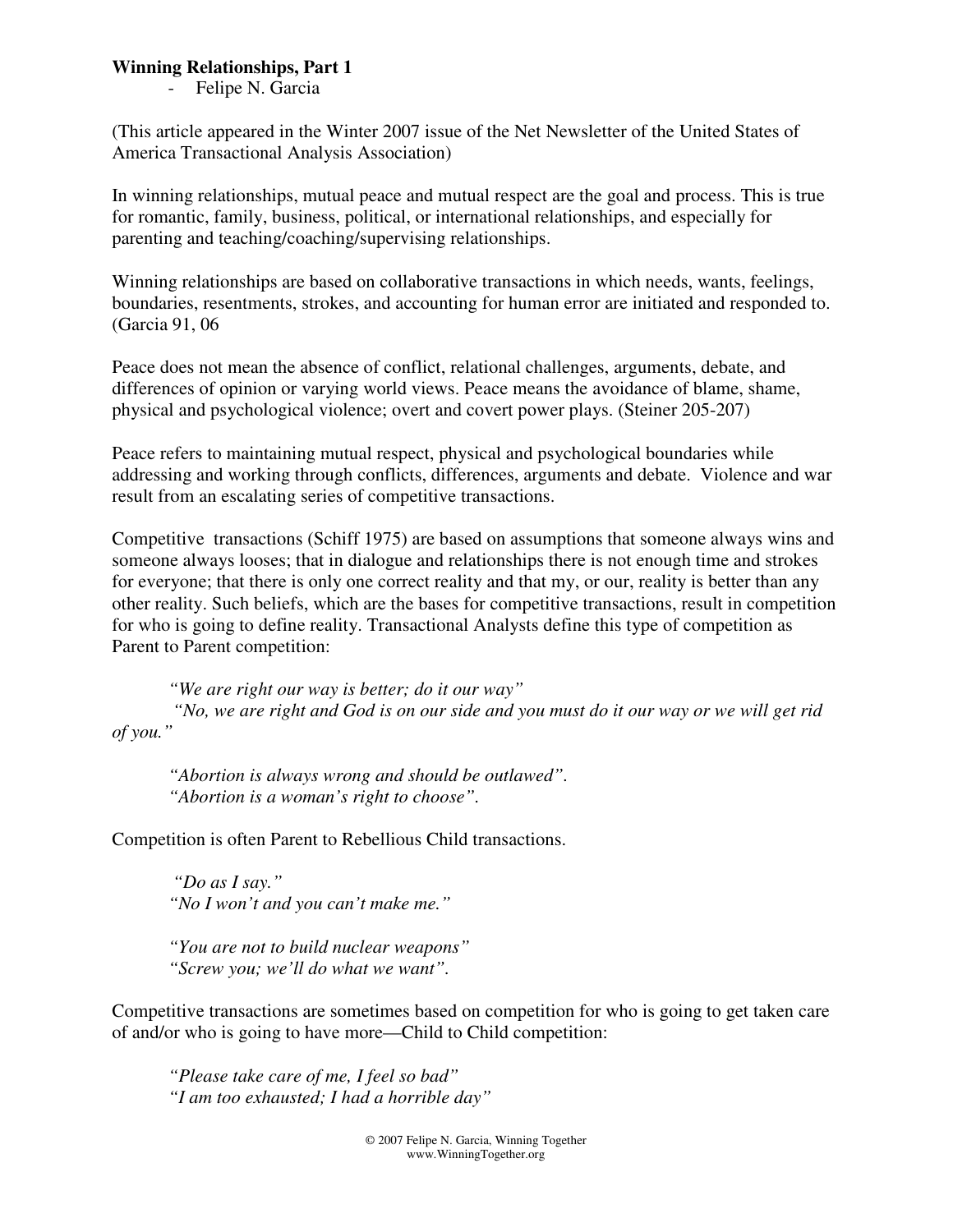## **Winning Relationships, Part 1**

- Felipe N. Garcia

(This article appeared in the Winter 2007 issue of the Net Newsletter of the United States of America Transactional Analysis Association)

In winning relationships, mutual peace and mutual respect are the goal and process. This is true for romantic, family, business, political, or international relationships, and especially for parenting and teaching/coaching/supervising relationships.

Winning relationships are based on collaborative transactions in which needs, wants, feelings, boundaries, resentments, strokes, and accounting for human error are initiated and responded to. (Garcia 91, 06

Peace does not mean the absence of conflict, relational challenges, arguments, debate, and differences of opinion or varying world views. Peace means the avoidance of blame, shame, physical and psychological violence; overt and covert power plays. (Steiner 205-207)

Peace refers to maintaining mutual respect, physical and psychological boundaries while addressing and working through conflicts, differences, arguments and debate. Violence and war result from an escalating series of competitive transactions.

Competitive transactions (Schiff 1975) are based on assumptions that someone always wins and someone always looses; that in dialogue and relationships there is not enough time and strokes for everyone; that there is only one correct reality and that my, or our, reality is better than any other reality. Such beliefs, which are the bases for competitive transactions, result in competition for who is going to define reality. Transactional Analysts define this type of competition as Parent to Parent competition:

*"We are right our way is better; do it our way" "No, we are right and God is on our side and you must do it our way or we will get rid of you."* 

*"Abortion is always wrong and should be outlawed". "Abortion is a woman's right to choose".* 

Competition is often Parent to Rebellious Child transactions.

 *"Do as I say." "No I won't and you can't make me."* 

*"You are not to build nuclear weapons" "Screw you; we'll do what we want".* 

Competitive transactions are sometimes based on competition for who is going to get taken care of and/or who is going to have more—Child to Child competition:

*"Please take care of me, I feel so bad" "I am too exhausted; I had a horrible day"*

> © 2007 Felipe N. Garcia, Winning Together www.WinningTogether.org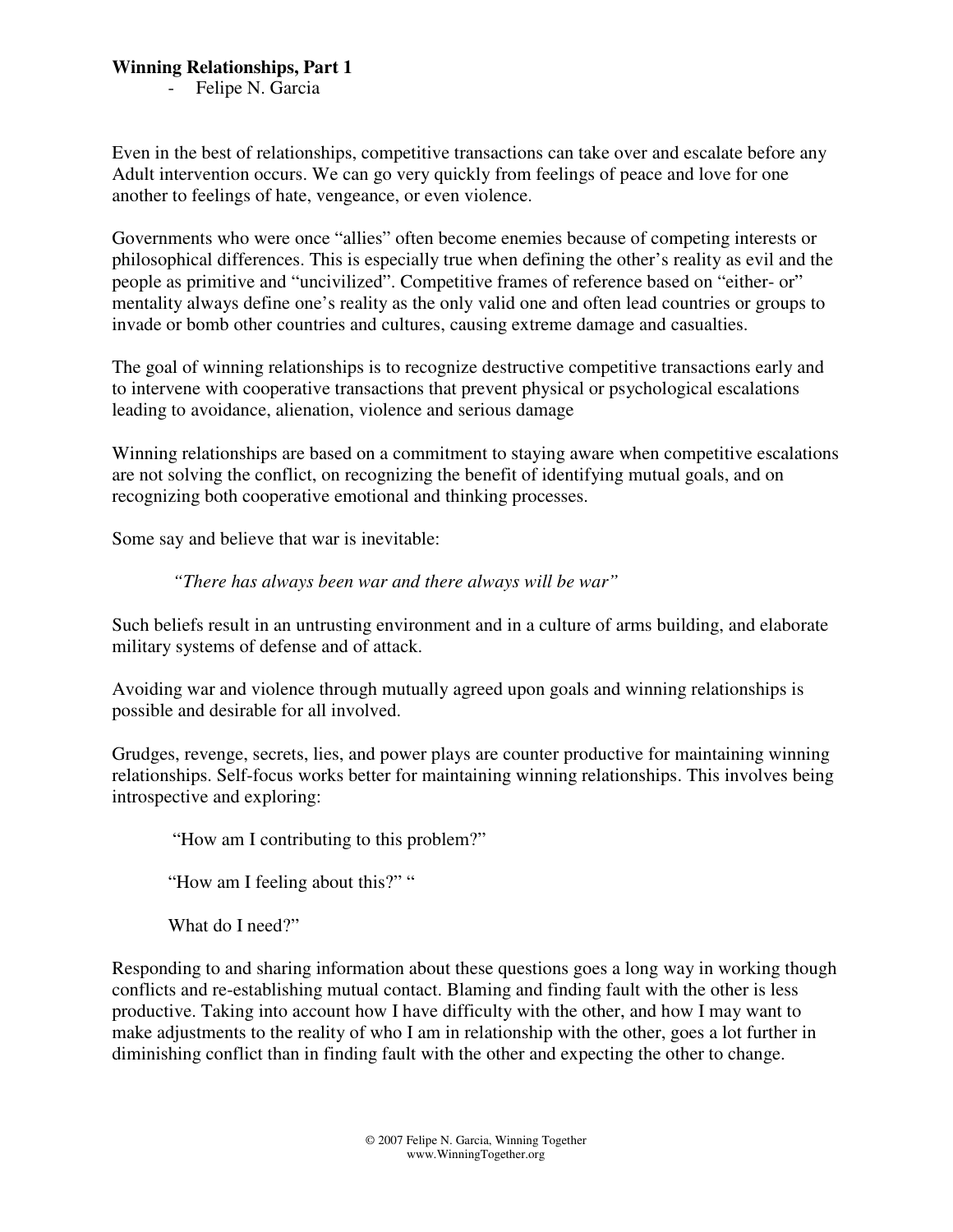## **Winning Relationships, Part 1**

- Felipe N. Garcia

Even in the best of relationships, competitive transactions can take over and escalate before any Adult intervention occurs. We can go very quickly from feelings of peace and love for one another to feelings of hate, vengeance, or even violence.

Governments who were once "allies" often become enemies because of competing interests or philosophical differences. This is especially true when defining the other's reality as evil and the people as primitive and "uncivilized". Competitive frames of reference based on "either- or" mentality always define one's reality as the only valid one and often lead countries or groups to invade or bomb other countries and cultures, causing extreme damage and casualties.

The goal of winning relationships is to recognize destructive competitive transactions early and to intervene with cooperative transactions that prevent physical or psychological escalations leading to avoidance, alienation, violence and serious damage

Winning relationships are based on a commitment to staying aware when competitive escalations are not solving the conflict, on recognizing the benefit of identifying mutual goals, and on recognizing both cooperative emotional and thinking processes.

Some say and believe that war is inevitable:

## *"There has always been war and there always will be war"*

Such beliefs result in an untrusting environment and in a culture of arms building, and elaborate military systems of defense and of attack.

Avoiding war and violence through mutually agreed upon goals and winning relationships is possible and desirable for all involved.

Grudges, revenge, secrets, lies, and power plays are counter productive for maintaining winning relationships. Self-focus works better for maintaining winning relationships. This involves being introspective and exploring:

"How am I contributing to this problem?"

"How am I feeling about this?""

What do I need?"

Responding to and sharing information about these questions goes a long way in working though conflicts and re-establishing mutual contact. Blaming and finding fault with the other is less productive. Taking into account how I have difficulty with the other, and how I may want to make adjustments to the reality of who I am in relationship with the other, goes a lot further in diminishing conflict than in finding fault with the other and expecting the other to change.